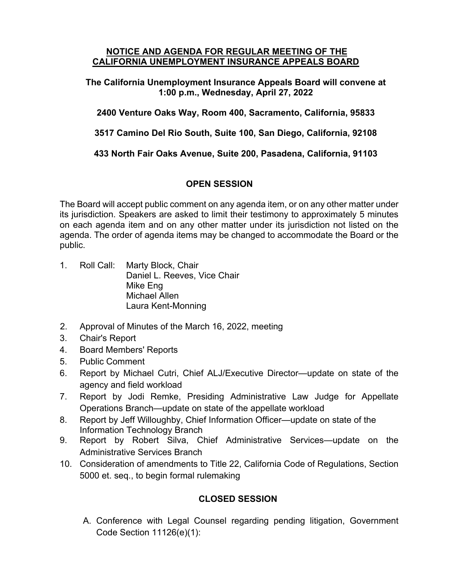## **NOTICE AND AGENDA FOR REGULAR MEETING OF THE CALIFORNIA UNEMPLOYMENT INSURANCE APPEALS BOARD**

**The California Unemployment Insurance Appeals Board will convene at 1:00 p.m., Wednesday, April 27, 2022** 

**2400 Venture Oaks Way, Room 400, Sacramento, California, 95833**

**3517 Camino Del Rio South, Suite 100, San Diego, California, 92108**

**433 North Fair Oaks Avenue, Suite 200, Pasadena, California, 91103**

## **OPEN SESSION**

The Board will accept public comment on any agenda item, or on any other matter under its jurisdiction. Speakers are asked to limit their testimony to approximately 5 minutes on each agenda item and on any other matter under its jurisdiction not listed on the agenda. The order of agenda items may be changed to accommodate the Board or the public.

- 1. Roll Call: Marty Block, Chair Daniel L. Reeves, Vice Chair Mike Eng Michael Allen Laura Kent-Monning
- 2. Approval of Minutes of the March 16, 2022, meeting
- 3. Chair's Report
- 4. Board Members' Reports
- 5. Public Comment
- 6. Report by Michael Cutri, Chief ALJ/Executive Director—update on state of the agency and field workload
- 7. Report by Jodi Remke, Presiding Administrative Law Judge for Appellate Operations Branch—update on state of the appellate workload
- 8. Report by Jeff Willoughby, Chief Information Officer—update on state of the Information Technology Branch
- 9. Report by Robert Silva, Chief Administrative Services—update on the Administrative Services Branch
- 10. Consideration of amendments to Title 22, California Code of Regulations, Section 5000 et. seq., to begin formal rulemaking

## **CLOSED SESSION**

A. Conference with Legal Counsel regarding pending litigation, Government Code Section 11126(e)(1):